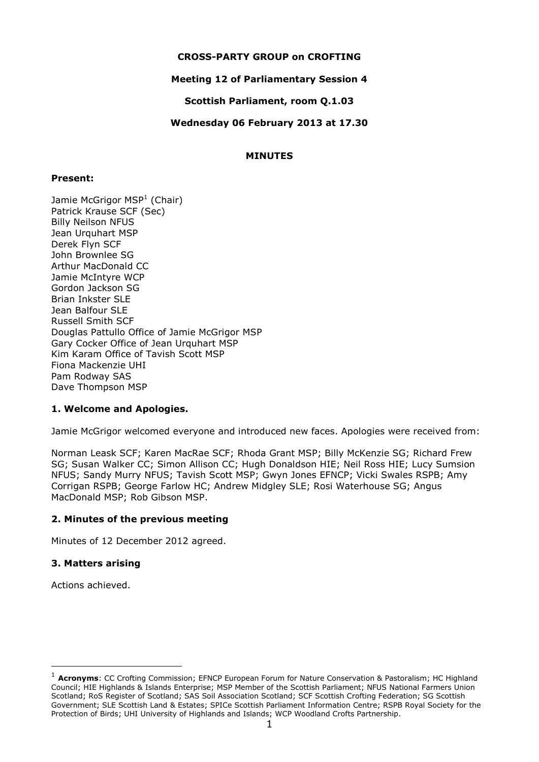#### **CROSS-PARTY GROUP on CROFTING**

# **Meeting 12 of Parliamentary Session 4**

**Scottish Parliament, room Q.1.03**

**Wednesday 06 February 2013 at 17.30**

# **MINUTES**

#### **Present:**

Jamie McGrigor MSP<sup>1</sup> (Chair) Patrick Krause SCF (Sec) Billy Neilson NFUS Jean Urquhart MSP Derek Flyn SCF John Brownlee SG Arthur MacDonald CC Jamie McIntyre WCP Gordon Jackson SG Brian Inkster SLE Jean Balfour SLE Russell Smith SCF Douglas Pattullo Office of Jamie McGrigor MSP Gary Cocker Office of Jean Urquhart MSP Kim Karam Office of Tavish Scott MSP Fiona Mackenzie UHI Pam Rodway SAS Dave Thompson MSP

# **1. Welcome and Apologies.**

Jamie McGrigor welcomed everyone and introduced new faces. Apologies were received from:

Norman Leask SCF; Karen MacRae SCF; Rhoda Grant MSP; Billy McKenzie SG; Richard Frew SG; Susan Walker CC; Simon Allison CC; Hugh Donaldson HIE; Neil Ross HIE; Lucy Sumsion NFUS; Sandy Murry NFUS; Tavish Scott MSP; Gwyn Jones EFNCP; Vicki Swales RSPB; Amy Corrigan RSPB; George Farlow HC; Andrew Midgley SLE; Rosi Waterhouse SG; Angus MacDonald MSP; Rob Gibson MSP.

# **2. Minutes of the previous meeting**

Minutes of 12 December 2012 agreed.

# **3. Matters arising**

Actions achieved.

-

<sup>1</sup> **Acronyms**: CC Crofting Commission; EFNCP European Forum for Nature Conservation & Pastoralism; HC Highland Council; HIE Highlands & Islands Enterprise; MSP Member of the Scottish Parliament; NFUS National Farmers Union Scotland; RoS Register of Scotland; SAS Soil Association Scotland; SCF Scottish Crofting Federation; SG Scottish Government; SLE Scottish Land & Estates; SPICe Scottish Parliament Information Centre; RSPB Royal Society for the Protection of Birds; UHI University of Highlands and Islands; WCP Woodland Crofts Partnership.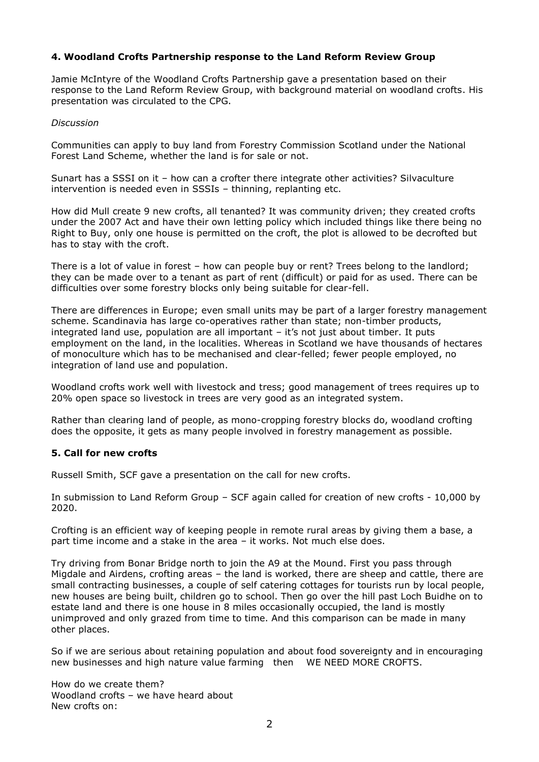# **4. Woodland Crofts Partnership response to the Land Reform Review Group**

Jamie McIntyre of the Woodland Crofts Partnership gave a presentation based on their response to the Land Reform Review Group, with background material on woodland crofts. His presentation was circulated to the CPG.

#### *Discussion*

Communities can apply to buy land from Forestry Commission Scotland under the National Forest Land Scheme, whether the land is for sale or not.

Sunart has a SSSI on it – how can a crofter there integrate other activities? Silvaculture intervention is needed even in SSSIs – thinning, replanting etc.

How did Mull create 9 new crofts, all tenanted? It was community driven; they created crofts under the 2007 Act and have their own letting policy which included things like there being no Right to Buy, only one house is permitted on the croft, the plot is allowed to be decrofted but has to stay with the croft.

There is a lot of value in forest – how can people buy or rent? Trees belong to the landlord; they can be made over to a tenant as part of rent (difficult) or paid for as used. There can be difficulties over some forestry blocks only being suitable for clear-fell.

There are differences in Europe; even small units may be part of a larger forestry management scheme. Scandinavia has large co-operatives rather than state; non-timber products, integrated land use, population are all important – it's not just about timber. It puts employment on the land, in the localities. Whereas in Scotland we have thousands of hectares of monoculture which has to be mechanised and clear-felled; fewer people employed, no integration of land use and population.

Woodland crofts work well with livestock and tress; good management of trees requires up to 20% open space so livestock in trees are very good as an integrated system.

Rather than clearing land of people, as mono-cropping forestry blocks do, woodland crofting does the opposite, it gets as many people involved in forestry management as possible.

#### **5. Call for new crofts**

Russell Smith, SCF gave a presentation on the call for new crofts.

In submission to Land Reform Group – SCF again called for creation of new crofts - 10,000 by 2020.

Crofting is an efficient way of keeping people in remote rural areas by giving them a base, a part time income and a stake in the area – it works. Not much else does.

Try driving from Bonar Bridge north to join the A9 at the Mound. First you pass through Migdale and Airdens, crofting areas – the land is worked, there are sheep and cattle, there are small contracting businesses, a couple of self catering cottages for tourists run by local people, new houses are being built, children go to school. Then go over the hill past Loch Buidhe on to estate land and there is one house in 8 miles occasionally occupied, the land is mostly unimproved and only grazed from time to time. And this comparison can be made in many other places.

So if we are serious about retaining population and about food sovereignty and in encouraging new businesses and high nature value farming then WE NEED MORE CROFTS.

How do we create them? Woodland crofts – we have heard about New crofts on: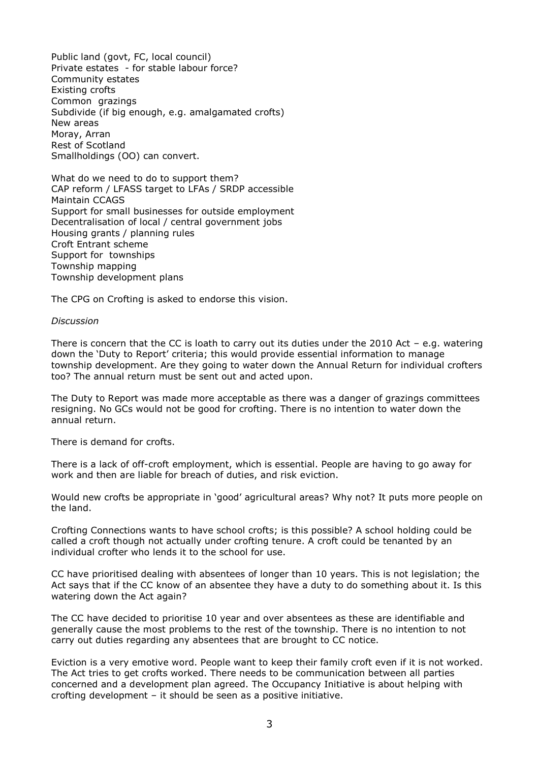Public land (govt, FC, local council) Private estates - for stable labour force? Community estates Existing crofts Common grazings Subdivide (if big enough, e.g. amalgamated crofts) New areas Moray, Arran Rest of Scotland Smallholdings (OO) can convert.

What do we need to do to support them? CAP reform / LFASS target to LFAs / SRDP accessible Maintain CCAGS Support for small businesses for outside employment Decentralisation of local / central government jobs Housing grants / planning rules Croft Entrant scheme Support for townships Township mapping Township development plans

The CPG on Crofting is asked to endorse this vision.

#### *Discussion*

There is concern that the CC is loath to carry out its duties under the 2010 Act  $-$  e.g. watering down the 'Duty to Report' criteria; this would provide essential information to manage township development. Are they going to water down the Annual Return for individual crofters too? The annual return must be sent out and acted upon.

The Duty to Report was made more acceptable as there was a danger of grazings committees resigning. No GCs would not be good for crofting. There is no intention to water down the annual return.

There is demand for crofts.

There is a lack of off-croft employment, which is essential. People are having to go away for work and then are liable for breach of duties, and risk eviction.

Would new crofts be appropriate in 'good' agricultural areas? Why not? It puts more people on the land.

Crofting Connections wants to have school crofts; is this possible? A school holding could be called a croft though not actually under crofting tenure. A croft could be tenanted by an individual crofter who lends it to the school for use.

CC have prioritised dealing with absentees of longer than 10 years. This is not legislation; the Act says that if the CC know of an absentee they have a duty to do something about it. Is this watering down the Act again?

The CC have decided to prioritise 10 year and over absentees as these are identifiable and generally cause the most problems to the rest of the township. There is no intention to not carry out duties regarding any absentees that are brought to CC notice.

Eviction is a very emotive word. People want to keep their family croft even if it is not worked. The Act tries to get crofts worked. There needs to be communication between all parties concerned and a development plan agreed. The Occupancy Initiative is about helping with crofting development – it should be seen as a positive initiative.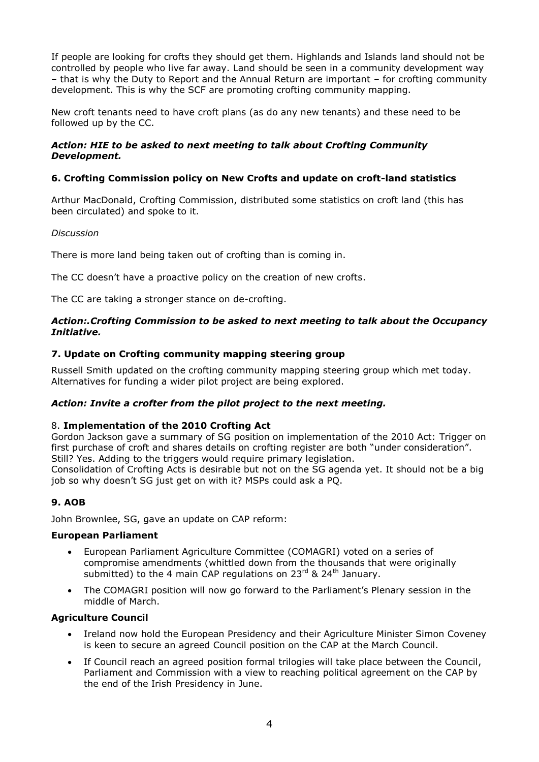If people are looking for crofts they should get them. Highlands and Islands land should not be controlled by people who live far away. Land should be seen in a community development way – that is why the Duty to Report and the Annual Return are important – for crofting community development. This is why the SCF are promoting crofting community mapping.

New croft tenants need to have croft plans (as do any new tenants) and these need to be followed up by the CC.

# *Action: HIE to be asked to next meeting to talk about Crofting Community Development.*

# **6. Crofting Commission policy on New Crofts and update on croft-land statistics**

Arthur MacDonald, Crofting Commission, distributed some statistics on croft land (this has been circulated) and spoke to it.

# *Discussion*

There is more land being taken out of crofting than is coming in.

The CC doesn't have a proactive policy on the creation of new crofts.

The CC are taking a stronger stance on de-crofting.

### *Action:.Crofting Commission to be asked to next meeting to talk about the Occupancy Initiative.*

# **7. Update on Crofting community mapping steering group**

Russell Smith updated on the crofting community mapping steering group which met today. Alternatives for funding a wider pilot project are being explored.

# *Action: Invite a crofter from the pilot project to the next meeting.*

# 8. **Implementation of the 2010 Crofting Act**

Gordon Jackson gave a summary of SG position on implementation of the 2010 Act: Trigger on first purchase of croft and shares details on crofting register are both "under consideration". Still? Yes. Adding to the triggers would require primary legislation.

Consolidation of Crofting Acts is desirable but not on the SG agenda yet. It should not be a big job so why doesn't SG just get on with it? MSPs could ask a PQ.

# **9. AOB**

John Brownlee, SG, gave an update on CAP reform:

#### **European Parliament**

- European Parliament Agriculture Committee (COMAGRI) voted on a series of compromise amendments (whittled down from the thousands that were originally submitted) to the 4 main CAP regulations on  $23^{rd}$  &  $24^{th}$  January.
- The COMAGRI position will now go forward to the Parliament's Plenary session in the middle of March.

#### **Agriculture Council**

- Ireland now hold the European Presidency and their Agriculture Minister Simon Coveney is keen to secure an agreed Council position on the CAP at the March Council.
- If Council reach an agreed position formal trilogies will take place between the Council, Parliament and Commission with a view to reaching political agreement on the CAP by the end of the Irish Presidency in June.